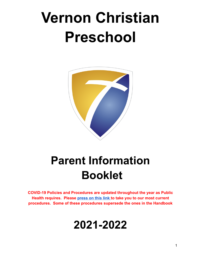# **Vernon Christian Preschool**



# **Parent Information Booklet**

**COVID-19 Policies and Procedures are updated throughout the year as Public Health requires. Please [press on this link](https://www.vcs.ca/wp-content/uploads/2022/02/Policies-and-Procedures_-Updated-Jan.-2022.pdf) to take you to our most current procedures. Some of these procedures supersede the ones in the Handbook**

# **2021-2022**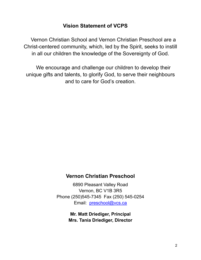# **Vision Statement of VCPS**

Vernon Christian School and Vernon Christian Preschool are a Christ-centered community, which, led by the Spirit, seeks to instill in all our children the knowledge of the Sovereignty of God.

We encourage and challenge our children to develop their unique gifts and talents, to glorify God, to serve their neighbours and to care for God's creation.

# **Vernon Christian Preschool**

6890 Pleasant Valley Road Vernon, BC V1B 3R5 Phone (250)545-7345 Fax (250) 545-0254 Email: preschool@vcs.ca

> **Mr. Matt Driediger, Principal Mrs. Tania Driediger, Director**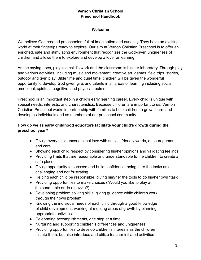# **Vernon Christian School Preschool Handbook**

#### **Welcome**

We believe God created preschoolers full of imagination and curiosity. They have an exciting world at their fingertips ready to explore. Our aim at Vernon Christian Preschool is to offer an enriched, safe and stimulating environment that recognizes the God-given uniqueness of children and allows them to explore and develop a love for learning.

As the saying goes, play is a child's work and the classroom is his/her laboratory. Through play and various activities, including music and movement, creative art, games, field trips, stories, outdoor and gym play, Bible time and quiet time, children will be given the wonderful opportunity to develop God given gifts and talents in all areas of learning including social, emotional, spiritual, cognitive, and physical realms.

Preschool is an important step in a child's early learning career. Every child is unique with special needs, interests, and characteristics. Because children are important to us, Vernon Christian Preschool works in partnership with families to help children to grow, learn, and develop as individuals and as members of our preschool community.

# **How do we as early childhood educators facilitate your child's growth during the preschool year?**

- Giving every child unconditional love with smiles, friendly words, encouragement and care
- Showing each child respect by considering his/her opinions and validating feelings
- Providing limits that are reasonable and understandable to the children to create a safe place
- Giving opportunity to succeed and build confidence; being sure the tasks are challenging and not frustrating
- Helping each child be responsible; giving him/her the tools to do his/her own "task
- Providing opportunities to make choices ("Would you like to play at the sand table or do a puzzle?)
- Developing problem solving skills; giving guidance while children work through their own problem
- Knowing the individual needs of each child through a good knowledge of child development; working at meeting areas of growth by planning appropriate activities
- Celebrating accomplishments, one step at a time
- Nurturing and supporting children's differences and uniqueness
- Providing opportunities to develop children's interests as the children initiate them, but also introduce and utilize teacher initiated activities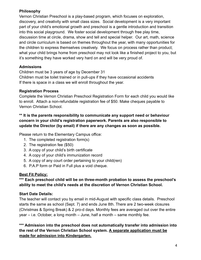# **Philosophy**

Vernon Christian Preschool is a play-based program, which focuses on exploration, discovery, and creativity with small class sizes. Social development is a very important part of your child's emotional growth and preschool is a gentle introduction and transition into this social playground. We foster social development through free play time, discussion time at circle, drama, show and tell and special helper. Our art, math, science and circle curriculum is based on themes throughout the year, with many opportunities for the children to express themselves creatively. We focus on process rather than product; what your child brings home from preschool may not look like a finished project to you, but it's something they have worked very hard on and will be very proud of.

# **Admissions**

Children must be 3 years of age by December 31 Children must be toilet trained or in pull-ups if they have occasional accidents If there is space in a class we will enroll throughout the year.

# **Registration Process**

Complete the Vernon Christian Preschool Registration Form for each child you would like to enroll. Attach a non-refundable registration fee of \$50. Make cheques payable to Vernon Christian School.

# **\*\* It is the parents responsibility to communicate any support need or behaviour concern in your child's registration paperwork. Parents are also responsible to update the Director (by email) if there are any changes as soon as possible.**

Please return to the Elementary Campus office:

- 1. The completed registration form(s)
- 2. The registration fee (\$50)
- 3. A copy of your child's birth certificate
- 4. A copy of your child's immunization record
- 5. A copy of any court order pertaining to your child(ren)
- 6. P.A.P form or Paid in Full plus a void cheque.

# **Best Fit Policy:**

# **\*\*\* Each preschool child will be on three-month probation to assess the preschool's ability to meet the child's needs at the discretion of Vernon Christian School.**

# **Start Date Details:**

The teacher will contact you by email in mid-August with specific class details. Preschool starts the same as school (Sept. 7) and ends June 8th. There are 2 two-week closures (Christmas & Spring Break) & 2 pro-d days. Monthly fees are averaged out over the entire year – i.e. October, a long month – June, half a month – same monthly fee.

**\*\*\* Admission into the preschool does not automatically transfer into admission into the rest of the Vernon Christian School system. A separate application must be made for admission into Kindergarten.**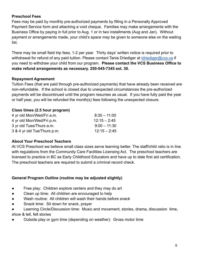# **Preschool Fees**

Fees may be paid by monthly pre-authorized payments by filling in a Personally Approved Payment Service form and attaching a void cheque. Families may make arrangements with the Business Office by paying in full prior to Aug. 1 or in two installments (Aug and Jan). Without payment or arrangements made, your child's space may be given to someone else on the waiting list.

There may be small field trip fees, 1-2 per year. Thirty days' written notice is required prior to withdrawal for refund of any paid tuition. Please contact Tania Driediger at [tdriediger@vcs.ca](mailto:tdriediger@vcs.ca) if you need to withdraw your child from our program. **Please contact the VCS Business Office to make refund arrangements as necessary. 250-545-7345 ext. 30.**

#### **Repayment Agreement**

Tuition Fees (that are paid through pre-authorized payments) that have already been received are non-refundable. If the school is closed due to unexpected circumstances the pre-authorized payments will be discontinued until the program resumes as usual. If you have fully paid the year or half year, you will be refunded the month(s) fees following the unexpected closure.

#### **Class times (2.5 hour program)**

| 4 yr old Mon/Wed/Fri a.m.   | $8:30 - 11:00$ |
|-----------------------------|----------------|
| 4 yr old Mon/Wed/Fri p.m.   | $12:15 - 2:45$ |
| 3 yr old Tues/Thurs a.m.    | $9:00 - 11:30$ |
| 3 & 4 yr old Tue/Thurs p.m. | $12:15 - 2:45$ |

#### **About Your Preschool Teachers**

At VCS Preschool we believe small class sizes serve learning better. The staff/child ratio is in line with regulations from the Community Care Facilities Licensing Act. The preschool teachers are licensed to practice in BC as Early Childhood Educators and have up to date first aid certification. The preschool teachers are required to submit a criminal record check.

#### **General Program Outline (routine may be adjusted slightly)**

- Free play: Children explore centers and they may do art
- Clean up time: All children are encouraged to help
- Wash routine: All children will wash their hands before snack
- Snack time: Sit down for snack, prayer
- Learning Circle/Discussion time: Music and movement, stories, drama, discussion time, show & tell, felt stories
- Outside play or gym time (depending on weather): Gross motor time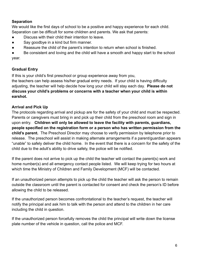# **Separation**

We would like the first days of school to be a positive and happy experience for each child. Separation can be difficult for some children and parents. We ask that parents:

- Discuss with their child their intention to leave.
- Say goodbye in a kind but firm manner.
- Reassure the child of the parent's intention to return when school is finished.

● Be consistent and loving and the child will have a smooth and happy start to the school year.

# **Gradual Entry**

If this is your child's first preschool or group experience away from you,

the teachers can help assess his/her gradual entry needs. If your child is having difficulty adjusting, the teacher will help decide how long your child will stay each day. **Please do not discuss your child's problems or concerns with a teacher when your child is within earshot.**

# **Arrival and Pick Up**

The protocols regarding arrival and pickup are for the safety of your child and must be respected. Parents or caregivers must bring in and pick up their child from the preschool room and sign in upon entry. **Children will only be allowed to leave the facility with parents, guardians, people specified on the registration form or a person who has written permission from the child's parent.** The Preschool Director may choose to verify permission by telephone prior to release. The preschool will assist in making alternate arrangements if a parent/guardian appears "unable" to safely deliver the child home. In the event that there is a concern for the safety of the child due to the adult's ability to drive safely, the police will be notified.

If the parent does not arrive to pick up the child the teacher will contact the parent(s) work and home number(s) and all emergency contact people listed. We will keep trying for two hours at which time the Ministry of Children and Family Development (MCF) will be contacted.

If an unauthorized person attempts to pick up the child the teacher will ask the person to remain outside the classroom until the parent is contacted for consent and check the person's ID before allowing the child to be released.

If the unauthorized person becomes confrontational to the teacher's request, the teacher will notify the principal and ask him to talk with the person and attend to the children in her care including the child in question.

If the unauthorized person forcefully removes the child the principal will write down the license plate number of the vehicle in question, call the police and MCF.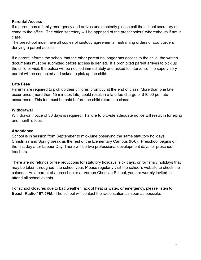# **Parental Access**

If a parent has a family emergency and arrives unexpectedly please call the school secretary or come to the office. The office secretary will be apprised of the preschoolers' whereabouts if not in class.

The preschool must have all copies of custody agreements, restraining orders or court orders denying a parent access.

If a parent informs the school that the other parent no longer has access to the child, the written documents must be submitted before access is denied. If a prohibited parent arrives to pick up the child or visit, the police will be notified immediately and asked to intervene. The supervisory parent will be contacted and asked to pick up the child.

#### **Late Fees**

Parents are required to pick up their children promptly at the end of class. More than one late occurrence (more than 15 minutes late) could result in a late fee charge of \$10.00 per late occurrence. This fee must be paid before the child returns to class.

#### **Withdrawal**

Withdrawal notice of 30 days is required. Failure to provide adequate notice will result in forfeiting one month's fees.

#### **Attendance**

School is in session from September to mid-June observing the same statutory holidays, Christmas and Spring break as the rest of the Elementary Campus (K-6). Preschool begins on the first day after Labour Day. There will be two professional development days for preschool teachers.

There are no refunds or fee reductions for statutory holidays, sick days, or for family holidays that may be taken throughout the school year. Please regularly visit the school's website to check the calendar. As a parent of a preschooler at Vernon Christian School, you are warmly invited to attend all school events.

For school closures due to bad weather, lack of heat or water, or emergency, please listen to **Beach Radio 107.5FM.** The school will contact the radio station as soon as possible.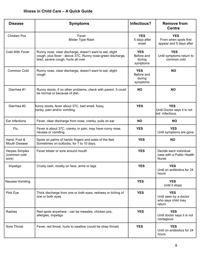# **Illness in Child Care – A Quick Guide**

| <b>Disease</b>                                 | <b>Symptoms</b>                                                                                                                                               | Infectious?                                    | <b>Remove from</b><br><b>Centre</b>                                  |
|------------------------------------------------|---------------------------------------------------------------------------------------------------------------------------------------------------------------|------------------------------------------------|----------------------------------------------------------------------|
| Chicken Pox                                    | Fever<br><b>Blister Type Rash</b>                                                                                                                             | <b>YES</b><br>5 days after<br>onset            | <b>YES</b><br>From when spots first<br>appear and 5 days after       |
| Cold With Fever                                | Runny nose, clear discharge, doesn't want to eat, slight<br>cough, plus fever - above 37C. Runny nose-green discharge,<br>tired, severe cough, hurts all over | <b>YES</b><br>Before and<br>during<br>symptoms | <b>YES</b><br>Until symptoms return to<br>common cold                |
| Common Cold                                    | Runny nose, clear discharge, doesn't want to eat, slight<br>cough                                                                                             | <b>YES</b><br>Before and<br>during<br>symptoms | <b>NO</b>                                                            |
| Diarrhea #1                                    | Runny stools, if no other problems, check with parent. It could<br>be normal or because of diet.                                                              | <b>NO</b>                                      | <b>NO</b>                                                            |
| Diarrhea #2                                    | Runny stools, fever about 37C, bad smell, fussy,<br>ranky, pain and/or vomiting                                                                               | <b>YES</b>                                     | <b>YES</b><br>Until Doctor says it is not<br>not infectious.         |
| Ear Infections                                 | Fever, clear discharge from nose, cranky, pulls on ear                                                                                                        | <b>NO</b>                                      | <b>NO</b>                                                            |
| Flu                                            | Fever is about 37C, cranky, in pain, may have runny nose,<br>nausea or vomiting.                                                                              | <b>YES</b>                                     | <b>YES</b><br>Until symptoms are gone                                |
| Hand, Foot &<br><b>Mouth Disease</b>           | Spots on palms of hands fingers and soles of the feet.<br>Sometimes on buttocks; for 7 to 10 days.                                                            | <b>YES</b>                                     | <b>NO</b>                                                            |
| <b>Herpes Simplex</b><br>(common cold<br>sore) | Fever blister or sore around mouth                                                                                                                            | <b>YES</b>                                     | Decide each individual<br>case with a Public Health<br><b>Nurse</b>  |
| Impetigo                                       | Crusty rash, mostly on face, arms or legs                                                                                                                     | <b>YES</b>                                     | <b>YES</b><br>Until on antibiotics for 24<br>hours                   |
| Nausea-Vomiting                                |                                                                                                                                                               | <b>YES</b>                                     | <b>YES</b><br>Until it stops                                         |
| Pink Eye                                       | Thick discharge from one or both eyes, redness or itching of<br>one or both eyes                                                                              | <b>YES</b>                                     | <b>YES</b><br>Until seen by a doctor<br>who says child may<br>return |
| Rashes                                         | Red spots anywhere - can be measles, chicken pox,<br>allergies, impetigo                                                                                      | <b>YES</b>                                     | <b>YES</b><br>Until doctor says it is not<br>contagious              |
| Sore Throat                                    | Fever, red throat, hurts to swallow (could be strep throat)                                                                                                   | <b>YES</b>                                     | <b>YES</b><br>Until on antibiotics for 24<br>hours                   |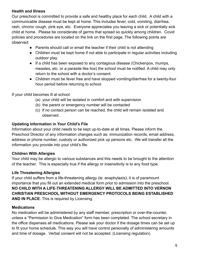# **Health and Illness**

Our preschool is committed to provide a safe and healthy place for each child. A child with a communicable disease must be kept at home. This includes fever, cold, vomiting, diarrhea, rash, chronic cough, pink eye, etc. Everyone appreciates you leaving a sick or potentially sick child at home. Please be considerate of germs that spread so quickly among children. Covid policies and procedures are located on the link on the first page. The following points are observed:

- Parents should call or email the teacher if their child is not attending
- Children must be kept home if not able to participate in regular activities including outdoor play.
- If a child has been exposed to any contagious disease (Chickenpox, mumps, measles, etc. or a parasite like lice) the school must be notified. A child may only return to the school with a doctor's consent.
- Children must be fever free and have stopped vomiting/diarrhea for a twenty-four hour period before returning to school.

If your child becomes ill at school:

- (a) your child will be isolated in comfort and with supervision
- (b) the parent or emergency number will be contacted
- (c) if no contact person can be reached, the child will remain isolated and observed.

# **Updating Information in Your Child's File**

Information about your child needs to be kept up-to-date at all times. Please inform the Preschool Director of any information changes such as: immunization records, email address, address or phone number, custody or authorized pick up persons etc. We will transfer all the information you provide into your child's file.

# **Children With Allergies**

Your child may be allergic to various substances and this needs to be brought to the attention of the teacher. This is especially true if the allergy or insensitivity is to any food type.

# **Life Threatening Allergies**

If your child suffers from a life-threatening allergy (ie: anaphylaxis), it is of paramount importance that you fill out an extended medical form prior to admission into the preschool. **NO CHILD WITH A LIFE-THREATENING ALLERGY WILL BE ADMITTED INTO VERNON CHRISTIAN PRESCHOOL WITHOUT EMERGENCY PROTOCOLS BEING ESTABLISHED AND IN PLACE.** This is required by Licensing.

# **Medications**

No medication will be administered by any staff member, prescription or over-the-counter, unless a "Permission to Give Medication" form has been completed. The school secretary in the office dispenses all medications. Please ask your doctor if the dosage times can be set up to fit your home schedule. This way you will have control personally of administering amounts and time of dosage. Verbal consent will not be accepted. (Licensing regulation).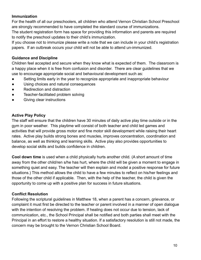#### **Immunization**

For the health of all our preschoolers, all children who attend Vernon Christian School Preschool are strongly recommended to have completed the standard course of immunizations.

The student registration form has space for providing this information and parents are required to notify the preschool updates to their child's immunization.

If you choose not to immunize please write a note that we can include in your child's registration papers. If an outbreak occurs your child will not be able to attend un-immunized.

# **Guidance and Discipline**

Children feel accepted and secure when they know what is expected of them. The classroom is a happy place when it is free from confusion and disorder. There are clear guidelines that we use to encourage appropriate social and behavioural development such as:

- Setting limits early in the year to recognize appropriate and inappropriate behaviour
- Using choices and natural consequences
- Redirection and distraction
- Teacher-facilitated problem solving
- Giving clear instructions

#### **Active Play Policy**

The staff will ensure that the children have 30 minutes of daily active play time outside or in the gym in poor weather. This playtime will consist of both teacher and child led games and activities that will provide gross motor and fine motor skill development while raising their heart rates. Active play builds strong bones and muscles, improves concentration, coordination and balance, as well as thinking and learning skills. Active play also provides opportunities to develop social skills and builds confidence in children.

**Cool down time** is used when a child physically hurts another child. (A short amount of time away from the other child/ren s/he has hurt, where the child will be given a moment to engage in something quiet and easy. The teacher will then explain and model a positive response for future situations.) This method allows the child to have a few minutes to reflect on his/her feelings and those of the other child if applicable. Then, with the help of the teacher, the child is given the opportunity to come up with a positive plan for success in future situations.

#### **Conflict Resolution**

Following the scriptural guidelines in Matthew 18, when a parent has a concern, grievance, or complaint it must first be directed to the teacher or parent involved in a manner of open dialogue with the intention of resolving the problem. If healing does not occur due to tension, lack of communication, etc., the School Principal shall be notified and both parties shall meet with the Principal in an effort to restore a healthy situation. If a satisfactory resolution is still not made, the concern may be brought to the Vernon Christian School Board.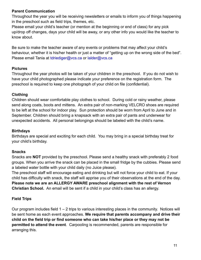# **Parent Communication**

Throughout the year you will be receiving newsletters or emails to inform you of things happening in the preschool such as field trips, themes, etc.

Please email your child's teacher (or mention at the beginning or end of class) for any pick up/drop off changes, days your child will be away, or any other info you would like the teacher to know about.

Be sure to make the teacher aware of any events or problems that may affect your child's behaviour, whether it is his/her health or just a matter of "getting up on the wrong side of the bed". Please email Tania at tdriediger@vcs.ca or lalder@vcs.ca

# **Pictures**

Throughout the year photos will be taken of your children in the preschool. If you do not wish to have your child photographed please indicate your preference on the registration form. The preschool is required to keep one photograph of your child on file (confidential).

# **Clothing**

Children should wear comfortable play clothes to school. During cold or rainy weather, please send along coats, boots and mittens. An extra pair of non-marking VELCRO shoes are required to be left at the school for indoor play. Sun protection should be worn from April to June and in September. Children should bring a knapsack with an extra pair of pants and underwear for unexpected accidents. All personal belongings should be labeled with the child's name.

# **Birthdays**

Birthdays are special and exciting for each child. You may bring in a special birthday treat for your child's birthday.

# **Snacks**

Snacks are **NOT** provided by the preschool. Please send a healthy snack with preferably 2 food groups. When you arrive the snack can be placed in the small fridge by the cubbies. Please send a labeled water bottle with your child daily (no Juice please).

The preschool staff will encourage eating and drinking but will not force your child to eat. If your child has difficulty with snack, the staff will apprise you of their observations at the end of the day. **Please note we are an ALLERGY AWARE preschool alignment with the rest of Vernon Christian School.** An email will be sent if a child in your child's class has an allergy.

# **Field Trips**

Our program includes field 1 – 2 trips to various interesting places in the community. Notices will be sent home as each event approaches. **We require that parents accompany and drive their child on the field trip or find someone who can take his/her place or they may not be permitted to attend the event**. Carpooling is recommended, parents are responsible for arranging this.